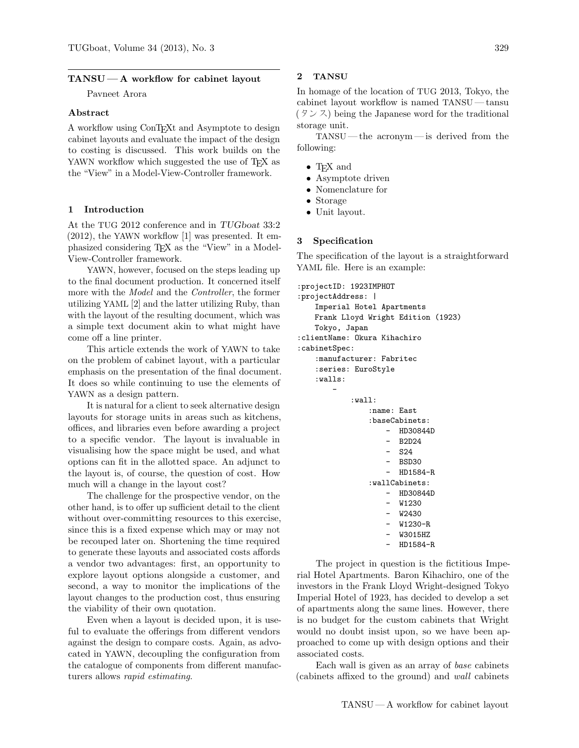## $TANSU - A$  workflow for cabinet layout

Pavneet Arora

# Abstract

A workflow using ConTEXt and Asymptote to design cabinet layouts and evaluate the impact of the design to costing is discussed. This work builds on the YAWN workflow which suggested the use of T<sub>EX</sub> as the "View" in a Model-View-Controller framework.

# 1 Introduction

At the TUG 2012 conference and in TUGboat 33:2 (2012), the YAWN workflow [1] was presented. It emphasized considering TEX as the "View" in a Model-View-Controller framework.

YAWN, however, focused on the steps leading up to the final document production. It concerned itself more with the Model and the Controller, the former utilizing YAML [2] and the latter utilizing Ruby, than with the layout of the resulting document, which was a simple text document akin to what might have come off a line printer.

This article extends the work of YAWN to take on the problem of cabinet layout, with a particular emphasis on the presentation of the final document. It does so while continuing to use the elements of YAWN as a design pattern.

It is natural for a client to seek alternative design layouts for storage units in areas such as kitchens, offices, and libraries even before awarding a project to a specific vendor. The layout is invaluable in visualising how the space might be used, and what options can fit in the allotted space. An adjunct to the layout is, of course, the question of cost. How much will a change in the layout cost?

The challenge for the prospective vendor, on the other hand, is to offer up sufficient detail to the client without over-committing resources to this exercise, since this is a fixed expense which may or may not be recouped later on. Shortening the time required to generate these layouts and associated costs affords a vendor two advantages: first, an opportunity to explore layout options alongside a customer, and second, a way to monitor the implications of the layout changes to the production cost, thus ensuring the viability of their own quotation.

Even when a layout is decided upon, it is useful to evaluate the offerings from different vendors against the design to compare costs. Again, as advocated in YAWN, decoupling the configuration from the catalogue of components from different manufacturers allows rapid estimating.

## 2 TANSU

In homage of the location of TUG 2013, Tokyo, the cabinet layout workflow is named TANSU— tansu  $(3 \times 7)$  being the Japanese word for the traditional storage unit.

TANSU— the acronym— is derived from the following:

- TEX and
- Asymptote driven
- Nomenclature for
- Storage
- Unit layout.

#### 3 Specification

The specification of the layout is a straightforward YAML file. Here is an example:

```
:projectID: 1923IMPHOT
:projectAddress: |
    Imperial Hotel Apartments
    Frank Lloyd Wright Edition (1923)
    Tokyo, Japan
:clientName: Okura Kihachiro
:cabinetSpec:
    :manufacturer: Fabritec
    :series: EuroStyle
    :walls:
        -
             \cdotwall\cdot:name: East
                 :baseCabinets:
                     - HD30844D
                        - B2D24
                     - S24
                        - BSD30
                      - HD1584-R
                 :wallCabinets:
                        - HD30844D
                        - W1230
                         - W2430
                         W1230-R
                         - W3015HZ
                     - HD1584-R
```
The project in question is the fictitious Imperial Hotel Apartments. Baron Kihachiro, one of the investors in the Frank Lloyd Wright-designed Tokyo Imperial Hotel of 1923, has decided to develop a set of apartments along the same lines. However, there is no budget for the custom cabinets that Wright would no doubt insist upon, so we have been approached to come up with design options and their associated costs.

Each wall is given as an array of base cabinets (cabinets affixed to the ground) and wall cabinets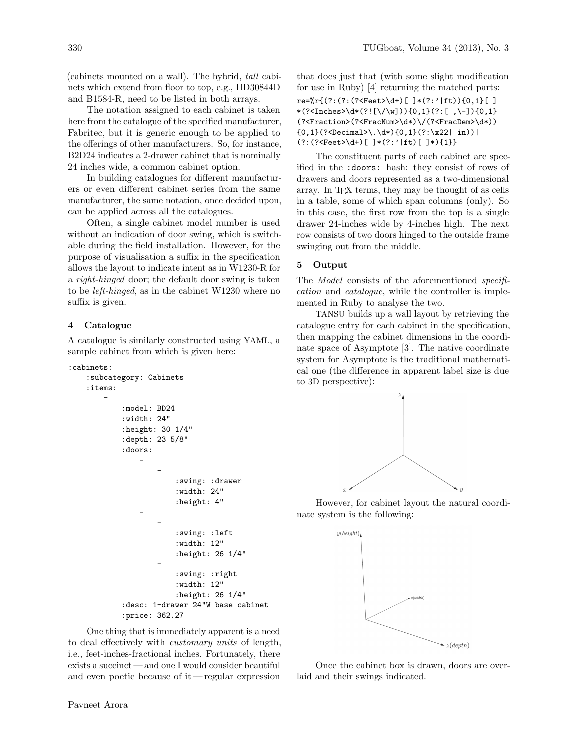(cabinets mounted on a wall). The hybrid, tall cabinets which extend from floor to top, e.g., HD30844D and B1584-R, need to be listed in both arrays.

The notation assigned to each cabinet is taken here from the catalogue of the specified manufacturer, Fabritec, but it is generic enough to be applied to the offerings of other manufacturers. So, for instance, B2D24 indicates a 2-drawer cabinet that is nominally 24 inches wide, a common cabinet option.

In building catalogues for different manufacturers or even different cabinet series from the same manufacturer, the same notation, once decided upon, can be applied across all the catalogues.

Often, a single cabinet model number is used without an indication of door swing, which is switchable during the field installation. However, for the purpose of visualisation a suffix in the specification allows the layout to indicate intent as in W1230-R for a right-hinged door; the default door swing is taken to be left-hinged, as in the cabinet W1230 where no suffix is given.

### 4 Catalogue

A catalogue is similarly constructed using YAML, a sample cabinet from which is given here:

```
:cabinets:
```

```
:subcategory: Cabinets
:items:
    -
        :model: BD24
        :width: 24"
        :height: 30 1/4"
        :depth: 23 5/8"
        :doors:
             -
                 -
                     :swing: :drawer
                     :width: 24"
                     :height: 4"
             -
                 -
                     :swing: :left
                     :width: 12"
                     :height: 26 1/4"
                 -
                     :swing: :right
                     :width: 12"
                     :height: 26 1/4"
        :desc: 1-drawer 24"W base cabinet
        :price: 362.27
```
One thing that is immediately apparent is a need to deal effectively with customary units of length, i.e., feet-inches-fractional inches. Fortunately, there exists a succinct — and one I would consider beautiful and even poetic because of it— regular expression

that does just that (with some slight modification for use in Ruby) [4] returning the matched parts:  $re=\{r\}(\text{?}: (\text{?}: (\text{?}: \text{Test})\{d\}) \ [\ ]*(\text{?}: \text{!} \{f\})\{0,1\} \ [\ ]$ \*(?<Inches>\d\*(?![\/\w])){0,1}(?:[ ,\-]){0,1} (?<Fraction>(?<FracNum>\d\*)\/(?<FracDem>\d\*))  ${0,1}$  $(?\Delta > \lambda \cdot \lambda *)(0,1)(?:\x22| in))$ (?:(?<Feet>\d+)[ ]\*(?:'|ft)[ ]\*){1}}

The constituent parts of each cabinet are specified in the :doors: hash: they consist of rows of drawers and doors represented as a two-dimensional array. In TEX terms, they may be thought of as cells in a table, some of which span columns (only). So in this case, the first row from the top is a single drawer 24-inches wide by 4-inches high. The next row consists of two doors hinged to the outside frame swinging out from the middle.

## 5 Output

The *Model* consists of the aforementioned *specifi*cation and catalogue, while the controller is implemented in Ruby to analyse the two.

TANSU builds up a wall layout by retrieving the catalogue entry for each cabinet in the specification, then mapping the cabinet dimensions in the coordinate space of Asymptote [3]. The native coordinate system for Asymptote is the traditional mathematical one (the difference in apparent label size is due to 3D perspective):



However, for cabinet layout the natural coordinate system is the following:



Once the cabinet box is drawn, doors are overlaid and their swings indicated.